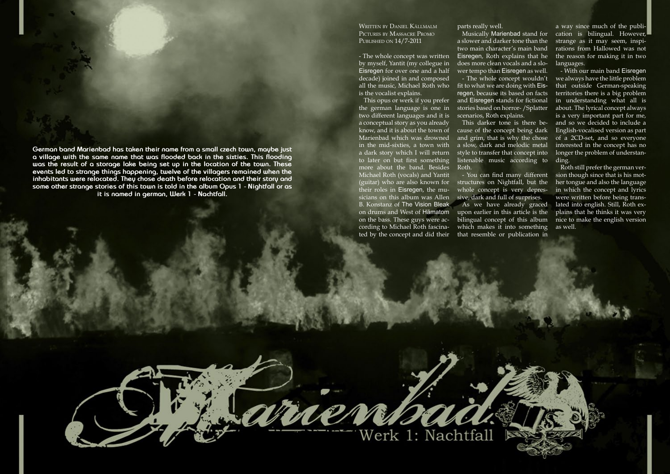**German band Marienbad has taken their name from a small czech town, maybe just a village with the same name that was flooded back in the sixties. This flooding was the result of a storage lake being set up in the location of the town. These events led to strange things happening, twelve of the villagers remained when the inhabitants were relocated. They chose death before relocation and their story and some other strange stories of this town is told in the album Opus 1 - Nightfall or as it is named in german, Werk 1 - Nachtfall.**

## Written by Daniel Källmalm Pictures by Massacre Promo Published on 14/7-2011

- The whole concept was written by myself, Yantit (my collegue in Eisregen for over one and a half decade) joined in and composed all the music, Michael Roth who fit to what we are doing with Eisis the vocalist explains.

This opus or werk if you prefer the german language is one in two different languages and it is a conceptual story as you already know, and it is about the town of Marienbad which was drowned in the mid-sixties, a town with a dark story which I will return style to transfer that concept into to later on but first something more about the band. Besides Michael Roth (vocals) and Yantit (guitar) who are also known for their roles in Eisregen, the musicians on this album was Allen sive, dark and full of surprises. B. Konstanz of The Vision Bleak on the bass. These guys were according to Michael Roth fascina-

parts really well.

a slower and darker tone than the two main character's main band Eisregen, Roth explains that he does more clean vocals and a slower tempo than Eisregen as well. - The whole concept wouldn't regen, because its based on facts and Eisregen stands for fictional stories based on horror- /Splatter scenarios, Roth explains.

on drums and West of Hämatom upon earlier in this article is the ted by the concept and did their that resemble or publication in - You can find many different structures on Nightfall, but the whole concept is very depres-As we have already graced bilingual concept of this album which makes it into something

Werk 1: Nachtfall

**TAVIT** 

This darker tone is there because of the concept being dark and grim, that is why the chose a slow, dark and melodic metal listenable music according to ding. Roth.

Musically Marienbad stand for cation is bilingual. However, a way since much of the publistrange as it may seem, inspirations from Hallowed was not the reason for making it in two languages.

> - With our main band Eisregen we always have the little problem that outside German-speaking territories there is a big problem in understanding what all is about. The lyrical concept always is a very important part for me, and so we decided to include a English-vocalised version as part of a 2CD-set, and so everyone interested in the concept has no longer the problem of understan-

> Roth still prefer the german version though since that is his mother tongue and also the language in which the concept and lyrics were written before being translated into english. Still, Roth explains that he thinks it was very nice to make the english version as well.